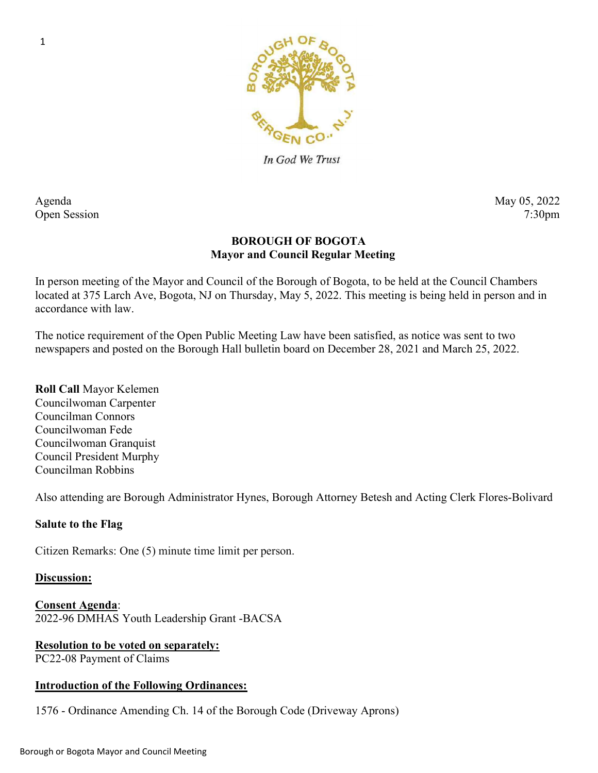

In God We Trust

# Agenda May 05, 2022 Open Session 7:30pm

# BOROUGH OF BOGOTA Mayor and Council Regular Meeting

In person meeting of the Mayor and Council of the Borough of Bogota, to be held at the Council Chambers located at 375 Larch Ave, Bogota, NJ on Thursday, May 5, 2022. This meeting is being held in person and in accordance with law.

The notice requirement of the Open Public Meeting Law have been satisfied, as notice was sent to two newspapers and posted on the Borough Hall bulletin board on December 28, 2021 and March 25, 2022.

Roll Call Mayor Kelemen Councilwoman Carpenter Councilman Connors Councilwoman Fede Councilwoman Granquist Council President Murphy Councilman Robbins

Also attending are Borough Administrator Hynes, Borough Attorney Betesh and Acting Clerk Flores-Bolivard

## Salute to the Flag

Citizen Remarks: One (5) minute time limit per person.

## Discussion:

Consent Agenda: 2022-96 DMHAS Youth Leadership Grant -BACSA

## Resolution to be voted on separately:

PC22-08 Payment of Claims

## Introduction of the Following Ordinances:

1576 - Ordinance Amending Ch. 14 of the Borough Code (Driveway Aprons)